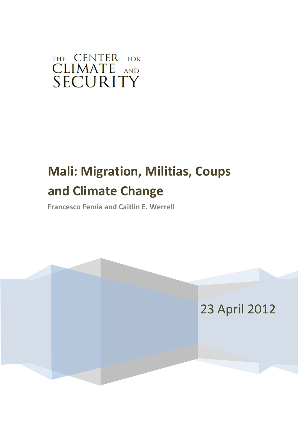# THE CENTER FOR CLIMATE AND SECURITY

# **Mali: Migration, Militias, Coups and Climate Change**

**Francesco Femia and Caitlin E. Werrell**

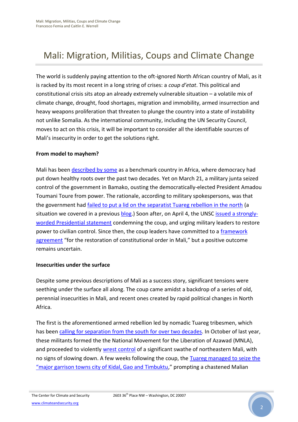## Mali: Migration, Militias, Coups and Climate Change

The world is suddenly paying attention to the oft-ignored North African country of Mali, as it is racked by its most recent in a long string of crises: a *coup d'etat*. This political and constitutional crisis sits atop an already extremely vulnerable situation – a volatile mix of climate change, drought, food shortages, migration and immobility, armed insurrection and heavy weapons proliferation that threaten to plunge the country into a state of instability not unlike Somalia. As the international community, including the UN Security Council, moves to act on this crisis, it will be important to consider all the identifiable sources of Mali's insecurity in order to get the solutions right.

#### **From model to mayhem?**

Mali has been [described by some](http://www.africanews.com/site/list_message/38073) as a benchmark country in Africa, where democracy had put down healthy roots over the past two decades. Yet on March 21, a military junta seized control of the government in Bamako, ousting the democratically-elected President Amadou Toumani Toure from power. The rationale, according to military spokespersons, was that the government had *failed to put a lid on the separatist Tuareg rebellion in the north* (a situation we covered in a previous [blog.](http://climateandsecurity.org/2012/03/19/the-sahel-weather-extremism-and-weaponspolitical-extremism-and-loose-weapons/)) Soon after, on April 4, the UNSC [issued a strongly](http://reliefweb.int/node/487815)[worded Presidential statement](http://reliefweb.int/node/487815) condemning the coup, and urging military leaders to restore power to civilian control. Since then, the coup leaders have committed to a [framework](http://usun.state.gov/briefing/statements/187637.htm)  [agreement](http://usun.state.gov/briefing/statements/187637.htm) "for the restoration of constitutional order in Mali," but a positive outcome remains uncertain.

#### **Insecurities under the surface**

Despite some previous descriptions of Mali as a success story, significant tensions were seething under the surface all along. The coup came amidst a backdrop of a series of old, perennial insecurities in Mali, and recent ones created by rapid political changes in North Africa.

The first is the aforementioned armed rebellion led by nomadic Tuareg tribesmen, which has bee[n calling for separation from the south for over two decades.](http://www.economist.com/node/21550324) In October of last year, these militants formed the the National Movement for the Liberation of Azawad (MNLA), and proceeded to violently [wrest control](http://www.economist.com/node/21550324) of a significant swathe of northeastern Mali, with no signs of slowing down. A few weeks following the coup, the Tuareg managed to seize the "major garrison t[owns city of Kidal, Gao and Timbuktu](http://www.csmonitor.com/World/Keep-Calm/2012/0402/Mali-coup-leaders-pledge-to-hand-over-power-as-Tuareg-rebels-take-Timbuktu)," prompting a chastened Malian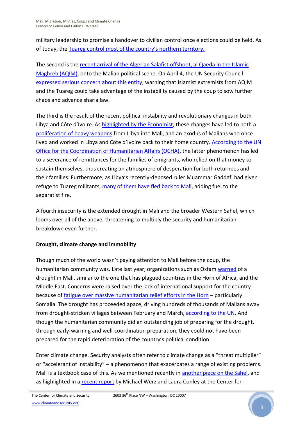military leadership to promise a handover to civilian control once elections could be held. As of today, the [Tuareg control most of the country's northern territory.](http://commons.wikimedia.org/wiki/File:Azawad_Tuareg_rebellion_2012_-_2.svg)

The second is the [recent arrival of the Algerian Salafist offshoot, al Qaeda in the Islamic](http://www.theatlantic.com/international/archive/2012/04/malis-crisis-obamas-opportunity/255699/)  [Maghreb \(AQIM\),](http://www.theatlantic.com/international/archive/2012/04/malis-crisis-obamas-opportunity/255699/) onto the Malian political scene. On April 4, the UN Security Council [expressed serious concern about this entity,](http://www.reuters.com/article/2012/04/04/us-mali-un-idUSBRE8330YV20120404) warning that Islamist extremists from AQIM and the Tuareg could take advantage of the instability caused by the coup to sow further chaos and advance sharia law.

The third is the result of the recent political instability and revolutionary changes in both Libya and Côte d'Ivoire. As [highlighted by the Economist,](http://www.economist.com/node/21550324) these changes have led to both a [proliferation of heavy weapons](http://www.economist.com/node/21550324) from Libya into Mali, and an exodus of Malians who once lived and worked in Libya and Côte d'Ivoire back to their home country. According to the UN [Office for the Coordination of Humanitarian Affairs \(OCHA\),](http://www.un.org/apps/news/story.asp?NewsID=41657&Cr=sahel&Cr1) the latter phenomenon has led to a severance of remittances for the families of emigrants, who relied on that money to sustain themselves, thus creating an atmosphere of desperation for both returnees and their families. Furthermore, as Libya's recently-deposed ruler Muammar Gaddafi had given refuge to Tuareg militants, [many of them have fled back to Mali,](http://www.economist.com/node/21550324) adding fuel to the separatist fire.

A fourth insecurity is the extended drought in Mali and the broader Western Sahel, which looms over all of the above, threatening to multiply the security and humanitarian breakdown even further.

### **Drought, climate change and immobility**

Though much of the world wasn't paying attention to Mali before the coup, the humanitarian community was. Late last year, organizations such as Oxfam [warned](http://www.economist.com/node/21550324) of a drought in Mali, similar to the one that has plagued countries in the Horn of Africa, and the Middle East. Concerns were raised over the lack of international support for the country because of [fatigue over massive humanitarian relief efforts in the Horn](http://www.msnbc.msn.com/id/46090345/ns/weather/t/drought-returns-sahel-bringing-hunger/) – particularly Somalia. The drought has proceeded apace, driving hundreds of thousands of Malians away from drought-stricken villages between February and March, [according to the UN.](http://online.wsj.com/article/SB10001424052970204781804577271481803144046.html) And though the humanitarian community did an outstanding job of preparing for the drought, through early-warning and well-coordination preparation, they could not have been prepared for the rapid deterioration of the country's political condition.

Enter climate change. Security analysts often refer to climate change as a "threat multiplier" or "accelerant of instability" – a phenomenon that exacerbates a range of existing problems. Mali is a textbook case of this. As we mentioned recently in [another piece on the Sahel,](http://climateandsecurity.org/2012/03/19/the-sahel-weather-extremism-and-weaponspolitical-extremism-and-loose-weapons/) and as highlighted in a [recent report](http://www.americanprogress.org/issues/2012/04/climate_migration_nwafrica.html) by Michael Werz and Laura Conley at the Center for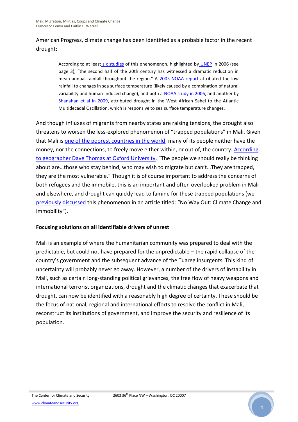## American Progress, climate change has been identified as a probable factor in the recent drought:

According to at least [six studies](http://www.unep.org/ecosystemmanagement/LinkClick.aspx?fileticket=7hsB6mTyaHo%3D&tabid=315&language=en-US) of this phenomenon, highlighted by [UNEP](http://www.unep.org/ecosystemmanagement/LinkClick.aspx?fileticket=7hsB6mTyaHo%3D&tabid=315&language=en-US) in 2006 (see page 3), "the second half of the 20th century has witnessed a dramatic reduction in mean annual rainfall throughout the region." A [2005 NOAA report](http://www.ncbi.nlm.nih.gov/pmc/articles/PMC1312412/?tool=pmcentrez) attributed the low rainfall to changes in sea surface temperature (likely caused by a combination of natural variability and human-induced change), and both a [NOAA study in 2006,](http://adsabs.harvard.edu/abs/2006GeoRL..3317712Z) and another b[y](http://www.sciencemag.org/content/324/5925/377) [Shanahan et al in 2009,](http://www.sciencemag.org/content/324/5925/377) attributed drought in the West African Sahel to the Atlantic Multidecadal Oscillation, which is responsive to sea surface temperature changes.

And though influxes of migrants from nearby states are raising tensions, the drought also threatens to worsen the less-explored phenomenon of "trapped populations" in Mali. Given that Mali is [one of the poorest countries in the world,](https://www.cia.gov/library/publications/the-world-factbook/geos/ml.html) many of its people neither have the money, nor the connections, to freely move either within, or out of, the country. [According](http://www.newscientist.com/article/dn21664-climate-migration-is-a-solution-not-desperation.html)  [to geographer Dave Thomas at Oxford University](http://www.newscientist.com/article/dn21664-climate-migration-is-a-solution-not-desperation.html), "The people we should really be thinking about are…those who stay behind, who may wish to migrate but can't…They are trapped, they are the most vulnerable." Though it is of course important to address the concerns of both refugees and the immobile, this is an important and often overlooked problem in Mali and elsewhere, and drought can quickly lead to famine for these trapped populations (we [previously discussed](http://www.worldpolicy.org/blog/2011/09/12/no-way-out-climate-change-and-immobility) this phenomenon in an article titled: "No Way Out: Climate Change and Immobility").

#### **Focusing solutions on all identifiable drivers of unrest**

Mali is an example of where the humanitarian community was prepared to deal with the predictable, but could not have prepared for the unpredictable – the rapid collapse of the country's government and the subsequent advance of the Tuareg insurgents. This kind of uncertainty will probably never go away. However, a number of the drivers of instability in Mali, such as certain long-standing political grievances, the free flow of heavy weapons and international terrorist organizations, drought and the climatic changes that exacerbate that drought, can now be identified with a reasonably high degree of certainty. These should be the focus of national, regional and international efforts to resolve the conflict in Mali, reconstruct its institutions of government, and improve the security and resilience of its population.